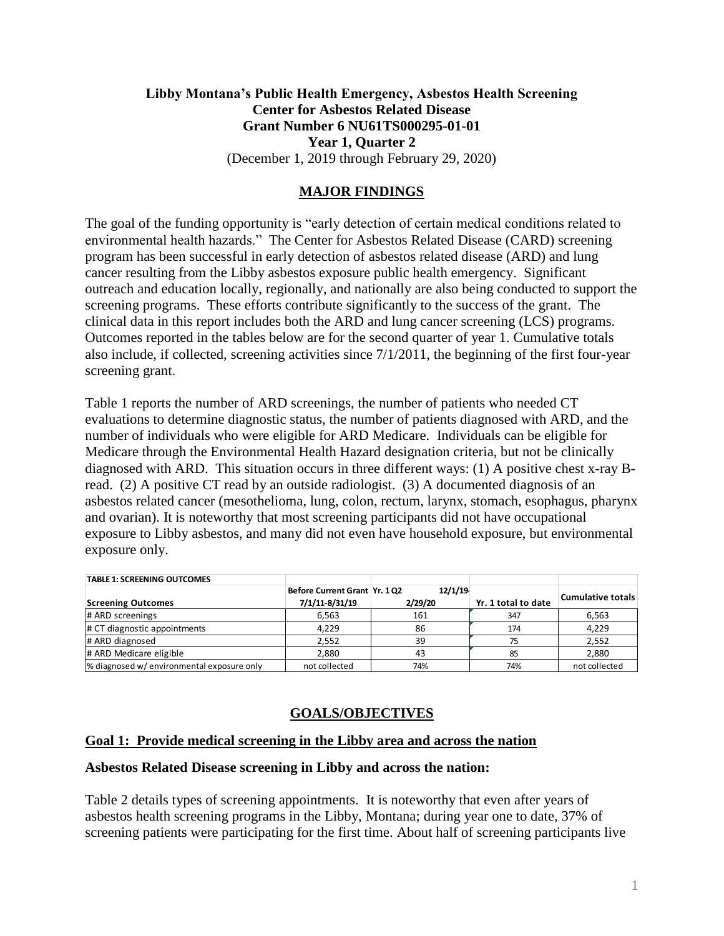# **Libby Montana's Public Health Emergency, Asbestos Health Screening Center for Asbestos Related Disease Grant Number 6 NU61TS000295-01-01 Year 1, Quarter 2** (December 1, 2019 through February 29, 2020)

### **MAJOR FINDINGS**

The goal of the funding opportunity is "early detection of certain medical conditions related to environmental health hazards." The Center for Asbestos Related Disease (CARD) screening program has been successful in early detection of asbestos related disease (ARD) and lung cancer resulting from the Libby asbestos exposure public health emergency. Significant outreach and education locally, regionally, and nationally are also being conducted to support the screening programs. These efforts contribute significantly to the success of the grant. The clinical data in this report includes both the ARD and lung cancer screening (LCS) programs. Outcomes reported in the tables below are for the second quarter of year 1. Cumulative totals also include, if collected, screening activities since 7/1/2011, the beginning of the first four-year screening grant.

Table 1 reports the number of ARD screenings, the number of patients who needed CT evaluations to determine diagnostic status, the number of patients diagnosed with ARD, and the number of individuals who were eligible for ARD Medicare. Individuals can be eligible for Medicare through the Environmental Health Hazard designation criteria, but not be clinically diagnosed with ARD. This situation occurs in three different ways: (1) A positive chest x-ray Bread. (2) A positive CT read by an outside radiologist. (3) A documented diagnosis of an asbestos related cancer (mesothelioma, lung, colon, rectum, larynx, stomach, esophagus, pharynx and ovarian). It is noteworthy that most screening participants did not have occupational exposure to Libby asbestos, and many did not even have household exposure, but environmental exposure only.

| <b>TABLE 1: SCREENING OUTCOMES</b>         |                               |         |                     |                          |
|--------------------------------------------|-------------------------------|---------|---------------------|--------------------------|
|                                            | Before Current Grant Yr. 1 Q2 | 12/1/19 |                     |                          |
| <b>Screening Outcomes</b>                  | 7/1/11-8/31/19                | 2/29/20 | Yr. 1 total to date | <b>Cumulative totals</b> |
| # ARD screenings                           | 6.563                         | 161     | 347                 | 6,563                    |
| # CT diagnostic appointments               | 4,229                         | 86      | 174                 | 4,229                    |
| # ARD diagnosed                            | 2,552                         | 39      | 75                  | 2,552                    |
| # ARD Medicare eligible                    | 2.880                         | 43      | 85                  | 2,880                    |
| % diagnosed w/ environmental exposure only | not collected                 | 74%     | 74%                 | not collected            |

# **GOALS/OBJECTIVES**

### **Goal 1: Provide medical screening in the Libby area and across the nation**

#### **Asbestos Related Disease screening in Libby and across the nation:**

Table 2 details types of screening appointments. It is noteworthy that even after years of asbestos health screening programs in the Libby, Montana; during year one to date, 37% of screening patients were participating for the first time. About half of screening participants live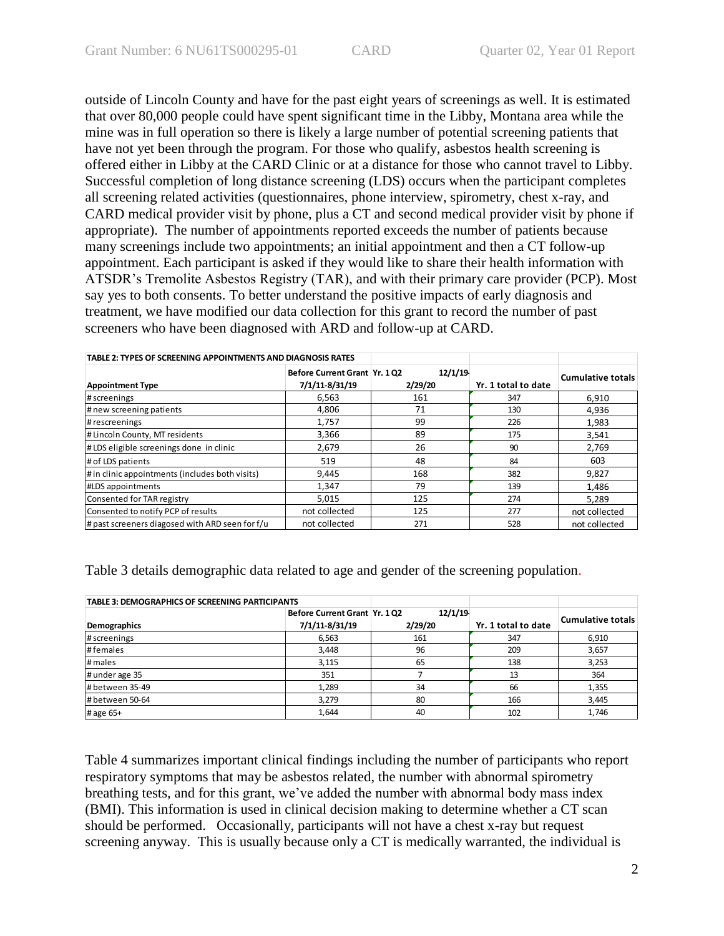outside of Lincoln County and have for the past eight years of screenings as well. It is estimated that over 80,000 people could have spent significant time in the Libby, Montana area while the mine was in full operation so there is likely a large number of potential screening patients that have not yet been through the program. For those who qualify, asbestos health screening is offered either in Libby at the CARD Clinic or at a distance for those who cannot travel to Libby. Successful completion of long distance screening (LDS) occurs when the participant completes all screening related activities (questionnaires, phone interview, spirometry, chest x-ray, and CARD medical provider visit by phone, plus a CT and second medical provider visit by phone if appropriate). The number of appointments reported exceeds the number of patients because many screenings include two appointments; an initial appointment and then a CT follow-up appointment. Each participant is asked if they would like to share their health information with ATSDR's Tremolite Asbestos Registry (TAR), and with their primary care provider (PCP). Most say yes to both consents. To better understand the positive impacts of early diagnosis and treatment, we have modified our data collection for this grant to record the number of past screeners who have been diagnosed with ARD and follow-up at CARD.

| TABLE 2: TYPES OF SCREENING APPOINTMENTS AND DIAGNOSIS RATES |                                                 |                    |                     |                          |
|--------------------------------------------------------------|-------------------------------------------------|--------------------|---------------------|--------------------------|
| <b>Appointment Type</b>                                      | Before Current Grant Yr. 1 Q2<br>7/1/11-8/31/19 | 12/1/19<br>2/29/20 | Yr. 1 total to date | <b>Cumulative totals</b> |
| # screenings                                                 | 6.563                                           | 161                | 347                 | 6,910                    |
| # new screening patients                                     | 4,806                                           | 71                 | 130                 | 4,936                    |
| # rescreenings                                               | 1,757                                           | 99                 | 226                 | 1,983                    |
| # Lincoln County, MT residents                               | 3,366                                           | 89                 | 175                 | 3,541                    |
| #LDS eligible screenings done in clinic                      | 2.679                                           | 26                 | 90                  | 2,769                    |
| # of LDS patients                                            | 519                                             | 48                 | 84                  | 603                      |
| # in clinic appointments (includes both visits)              | 9,445                                           | 168                | 382                 | 9,827                    |
| <b>#LDS</b> appointments                                     | 1,347                                           | 79                 | 139                 | 1,486                    |
| Consented for TAR registry                                   | 5,015                                           | 125                | 274                 | 5.289                    |
| Consented to notify PCP of results                           | not collected                                   | 125                | 277                 | not collected            |
| # past screeners diagosed with ARD seen for f/u              | not collected                                   | 271                | 528                 | not collected            |

Table 3 details demographic data related to age and gender of the screening population.

| <b>TABLE 3: DEMOGRAPHICS OF SCREENING PARTICIPANTS</b> |                               |         |                     |                          |
|--------------------------------------------------------|-------------------------------|---------|---------------------|--------------------------|
|                                                        | Before Current Grant Yr. 1 Q2 | 12/1/19 |                     |                          |
| Demographics                                           | 7/1/11-8/31/19                | 2/29/20 | Yr. 1 total to date | <b>Cumulative totals</b> |
| # screenings                                           | 6,563                         | 161     | 347                 | 6,910                    |
| #females                                               | 3,448                         | 96      | 209                 | 3,657                    |
| # males                                                | 3,115                         | 65      | 138                 | 3,253                    |
| # under age 35                                         | 351                           |         | 13                  | 364                      |
| # between 35-49                                        | 1,289                         | 34      | 66                  | 1,355                    |
| # between 50-64                                        | 3,279                         | 80      | 166                 | 3,445                    |
| # age 65+                                              | 1,644                         | 40      | 102                 | 1,746                    |

Table 4 summarizes important clinical findings including the number of participants who report respiratory symptoms that may be asbestos related, the number with abnormal spirometry breathing tests, and for this grant, we've added the number with abnormal body mass index (BMI). This information is used in clinical decision making to determine whether a CT scan should be performed. Occasionally, participants will not have a chest x-ray but request screening anyway. This is usually because only a CT is medically warranted, the individual is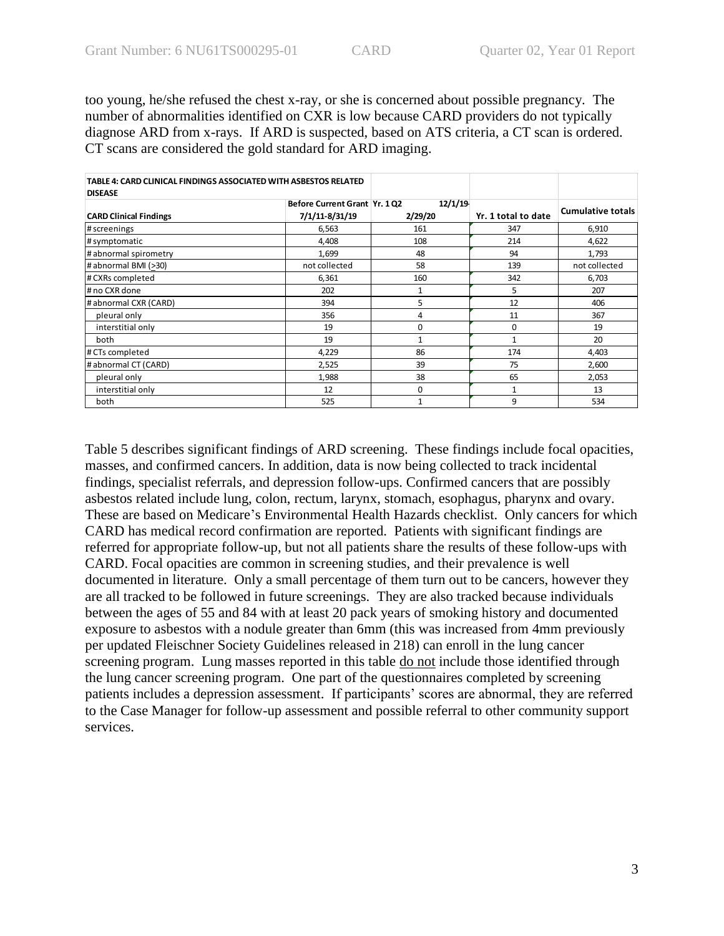too young, he/she refused the chest x-ray, or she is concerned about possible pregnancy. The number of abnormalities identified on CXR is low because CARD providers do not typically diagnose ARD from x-rays. If ARD is suspected, based on ATS criteria, a CT scan is ordered. CT scans are considered the gold standard for ARD imaging.

| TABLE 4: CARD CLINICAL FINDINGS ASSOCIATED WITH ASBESTOS RELATED<br><b>DISEASE</b> |                              |         |                     |                          |
|------------------------------------------------------------------------------------|------------------------------|---------|---------------------|--------------------------|
|                                                                                    | Before Current Grant Yr. 102 | 12/1/19 |                     | <b>Cumulative totals</b> |
| <b>CARD Clinical Findings</b>                                                      | 7/1/11-8/31/19               | 2/29/20 | Yr. 1 total to date |                          |
| # screenings                                                                       | 6,563                        | 161     | 347                 | 6,910                    |
| # symptomatic                                                                      | 4,408                        | 108     | 214                 | 4,622                    |
| # abnormal spirometry                                                              | 1,699                        | 48      | 94                  | 1,793                    |
| # abnormal BMI (>30)                                                               | not collected                | 58      | 139                 | not collected            |
| # CXRs completed                                                                   | 6,361                        | 160     | 342                 | 6,703                    |
| # no CXR done                                                                      | 202                          | 1       | 5                   | 207                      |
| # abnormal CXR (CARD)                                                              | 394                          | 5       | 12                  | 406                      |
| pleural only                                                                       | 356                          | 4       | 11                  | 367                      |
| interstitial only                                                                  | 19                           | 0       | 0                   | 19                       |
| both                                                                               | 19                           | 1       | 1                   | 20                       |
| # CTs completed                                                                    | 4,229                        | 86      | 174                 | 4,403                    |
| # abnormal CT (CARD)                                                               | 2,525                        | 39      | 75                  | 2,600                    |
| pleural only                                                                       | 1,988                        | 38      | 65                  | 2,053                    |
| interstitial only                                                                  | 12                           | 0       | 1                   | 13                       |
| both                                                                               | 525                          | 1       | 9                   | 534                      |

Table 5 describes significant findings of ARD screening. These findings include focal opacities, masses, and confirmed cancers. In addition, data is now being collected to track incidental findings, specialist referrals, and depression follow-ups. Confirmed cancers that are possibly asbestos related include lung, colon, rectum, larynx, stomach, esophagus, pharynx and ovary. These are based on Medicare's Environmental Health Hazards checklist. Only cancers for which CARD has medical record confirmation are reported. Patients with significant findings are referred for appropriate follow-up, but not all patients share the results of these follow-ups with CARD. Focal opacities are common in screening studies, and their prevalence is well documented in literature. Only a small percentage of them turn out to be cancers, however they are all tracked to be followed in future screenings. They are also tracked because individuals between the ages of 55 and 84 with at least 20 pack years of smoking history and documented exposure to asbestos with a nodule greater than 6mm (this was increased from 4mm previously per updated Fleischner Society Guidelines released in 218) can enroll in the lung cancer screening program. Lung masses reported in this table do not include those identified through the lung cancer screening program. One part of the questionnaires completed by screening patients includes a depression assessment. If participants' scores are abnormal, they are referred to the Case Manager for follow-up assessment and possible referral to other community support services.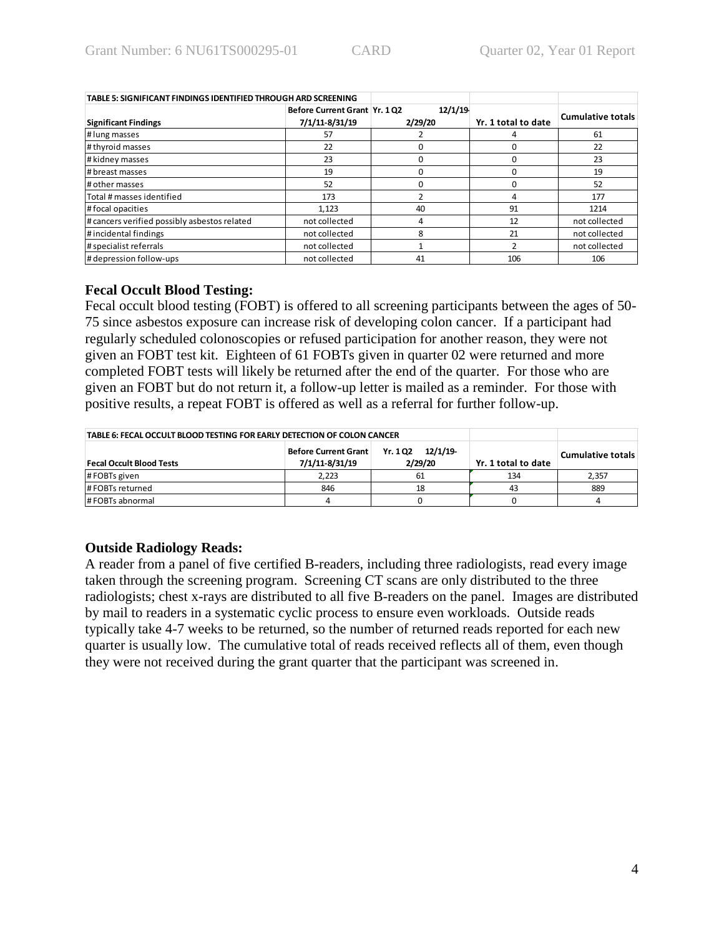| TABLE 5: SIGNIFICANT FINDINGS IDENTIFIED THROUGH ARD SCREENING |                              |         |                     |                          |
|----------------------------------------------------------------|------------------------------|---------|---------------------|--------------------------|
|                                                                | Before Current Grant Yr. 102 | 12/1/19 |                     | <b>Cumulative totals</b> |
| <b>Significant Findings</b>                                    | 7/1/11-8/31/19               | 2/29/20 | Yr. 1 total to date |                          |
| # lung masses                                                  | 57                           |         |                     | 61                       |
| # thyroid masses                                               | 22                           |         |                     | 22                       |
| # kidney masses                                                | 23                           |         |                     | 23                       |
| # breast masses                                                | 19                           |         |                     | 19                       |
| # other masses                                                 | 52                           |         | n                   | 52                       |
| Total # masses identified                                      | 173                          |         | 4                   | 177                      |
| #focal opacities                                               | 1.123                        | 40      | 91                  | 1214                     |
| # cancers verified possibly asbestos related                   | not collected                |         | 12                  | not collected            |
| #incidental findings                                           | not collected                |         | 21                  | not collected            |
| # specialist referrals                                         | not collected                |         |                     | not collected            |
| # depression follow-ups                                        | not collected                | 41      | 106                 | 106                      |

### **Fecal Occult Blood Testing:**

Fecal occult blood testing (FOBT) is offered to all screening participants between the ages of 50- 75 since asbestos exposure can increase risk of developing colon cancer. If a participant had regularly scheduled colonoscopies or refused participation for another reason, they were not given an FOBT test kit. Eighteen of 61 FOBTs given in quarter 02 were returned and more completed FOBT tests will likely be returned after the end of the quarter. For those who are given an FOBT but do not return it, a follow-up letter is mailed as a reminder. For those with positive results, a repeat FOBT is offered as well as a referral for further follow-up.

| TABLE 6: FECAL OCCULT BLOOD TESTING FOR EARLY DETECTION OF COLON CANCER |                     |                   |     |       |
|-------------------------------------------------------------------------|---------------------|-------------------|-----|-------|
| <b>Fecal Occult Blood Tests</b>                                         | Yr. 1 total to date | Cumulative totals |     |       |
| #FOBTs given                                                            | 2.223               | 61                | 134 | 2,357 |
| # FOBTs returned                                                        | 846                 | 18                | 43  | 889   |
| # FOBTs abnormal                                                        |                     |                   |     |       |

# **Outside Radiology Reads:**

A reader from a panel of five certified B-readers, including three radiologists, read every image taken through the screening program. Screening CT scans are only distributed to the three radiologists; chest x-rays are distributed to all five B-readers on the panel. Images are distributed by mail to readers in a systematic cyclic process to ensure even workloads. Outside reads typically take 4-7 weeks to be returned, so the number of returned reads reported for each new quarter is usually low. The cumulative total of reads received reflects all of them, even though they were not received during the grant quarter that the participant was screened in.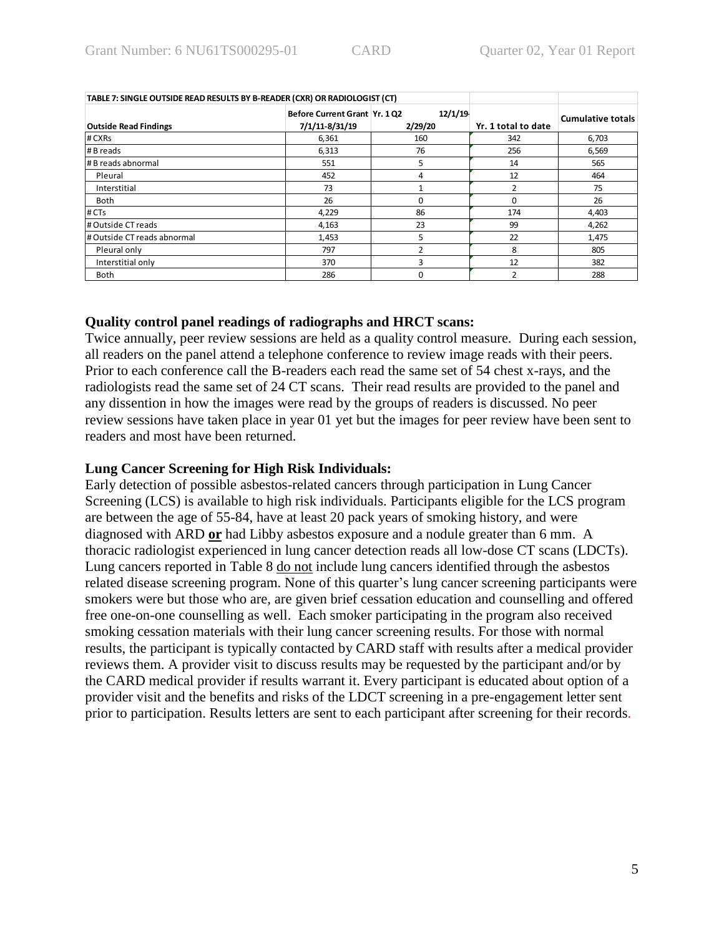| TABLE 7: SINGLE OUTSIDE READ RESULTS BY B-READER (CXR) OR RADIOLOGIST (CT) |                                                |                    |                     |                          |
|----------------------------------------------------------------------------|------------------------------------------------|--------------------|---------------------|--------------------------|
| <b>Outside Read Findings</b>                                               | Before Current Grant Yr. 102<br>7/1/11-8/31/19 | 12/1/19<br>2/29/20 | Yr. 1 total to date | <b>Cumulative totals</b> |
| # CXRs                                                                     | 6,361                                          | 160                | 342                 | 6,703                    |
| # B reads                                                                  | 6,313                                          | 76                 | 256                 | 6,569                    |
| # B reads abnormal                                                         | 551                                            | 5                  | 14                  | 565                      |
| Pleural                                                                    | 452                                            | 4                  | 12                  | 464                      |
| Interstitial                                                               | 73                                             |                    | 2                   | 75                       |
| <b>Both</b>                                                                | 26                                             | O                  | $\Omega$            | 26                       |
| # CTs                                                                      | 4,229                                          | 86                 | 174                 | 4,403                    |
| # Outside CT reads                                                         | 4,163                                          | 23                 | 99                  | 4,262                    |
| # Outside CT reads abnormal                                                | 1,453                                          | 5                  | 22                  | 1,475                    |
| Pleural only                                                               | 797                                            |                    | 8                   | 805                      |
| Interstitial only                                                          | 370                                            |                    | 12                  | 382                      |
| <b>Both</b>                                                                | 286                                            | 0                  | 2                   | 288                      |

#### **Quality control panel readings of radiographs and HRCT scans:**

Twice annually, peer review sessions are held as a quality control measure. During each session, all readers on the panel attend a telephone conference to review image reads with their peers. Prior to each conference call the B-readers each read the same set of 54 chest x-rays, and the radiologists read the same set of 24 CT scans. Their read results are provided to the panel and any dissention in how the images were read by the groups of readers is discussed. No peer review sessions have taken place in year 01 yet but the images for peer review have been sent to readers and most have been returned.

#### **Lung Cancer Screening for High Risk Individuals:**

Early detection of possible asbestos-related cancers through participation in Lung Cancer Screening (LCS) is available to high risk individuals. Participants eligible for the LCS program are between the age of 55-84, have at least 20 pack years of smoking history, and were diagnosed with ARD **or** had Libby asbestos exposure and a nodule greater than 6 mm. A thoracic radiologist experienced in lung cancer detection reads all low-dose CT scans (LDCTs). Lung cancers reported in Table 8 do not include lung cancers identified through the asbestos related disease screening program. None of this quarter's lung cancer screening participants were smokers were but those who are, are given brief cessation education and counselling and offered free one-on-one counselling as well. Each smoker participating in the program also received smoking cessation materials with their lung cancer screening results. For those with normal results, the participant is typically contacted by CARD staff with results after a medical provider reviews them. A provider visit to discuss results may be requested by the participant and/or by the CARD medical provider if results warrant it. Every participant is educated about option of a provider visit and the benefits and risks of the LDCT screening in a pre-engagement letter sent prior to participation. Results letters are sent to each participant after screening for their records.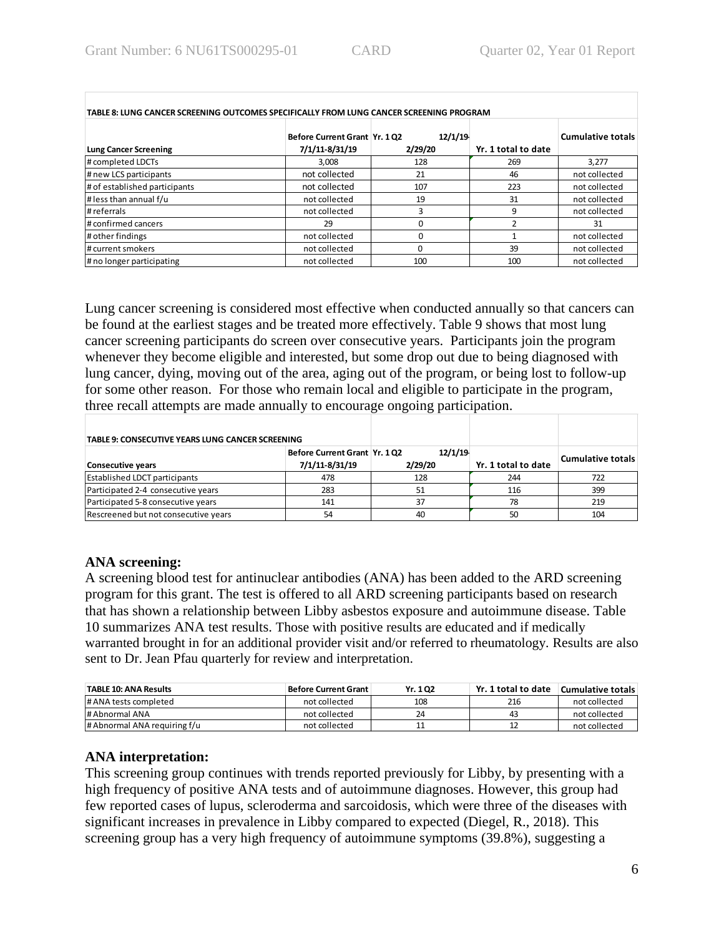| TABLE 8: LUNG CANCER SCREENING OUTCOMES SPECIFICALLY FROM LUNG CANCER SCREENING PROGRAM |                                                |                    |                     |                          |  |  |
|-----------------------------------------------------------------------------------------|------------------------------------------------|--------------------|---------------------|--------------------------|--|--|
| <b>Lung Cancer Screening</b>                                                            | Before Current Grant Yr. 102<br>7/1/11-8/31/19 | 12/1/19<br>2/29/20 | Yr. 1 total to date | <b>Cumulative totals</b> |  |  |
| # completed LDCTs                                                                       | 3.008                                          | 128                | 269                 | 3.277                    |  |  |
| # new LCS participants                                                                  | not collected<br>21<br>46                      |                    |                     | not collected            |  |  |
| # of established participants                                                           | not collected                                  | 107                | 223                 | not collected            |  |  |
| # less than annual $f/u$                                                                | not collected                                  | 19                 | 31                  | not collected            |  |  |
| # referrals                                                                             | not collected                                  |                    | 9                   | not collected            |  |  |
| # confirmed cancers                                                                     | 29                                             |                    |                     | 31                       |  |  |
| # other findings                                                                        | not collected                                  |                    |                     | not collected            |  |  |
| # current smokers                                                                       | not collected                                  |                    | 39                  | not collected            |  |  |
| # no longer participating                                                               | not collected                                  | 100                | 100                 | not collected            |  |  |

Lung cancer screening is considered most effective when conducted annually so that cancers can be found at the earliest stages and be treated more effectively. Table 9 shows that most lung cancer screening participants do screen over consecutive years. Participants join the program whenever they become eligible and interested, but some drop out due to being diagnosed with lung cancer, dying, moving out of the area, aging out of the program, or being lost to follow-up for some other reason. For those who remain local and eligible to participate in the program, three recall attempts are made annually to encourage ongoing participation.

| TABLE 9: CONSECUTIVE YEARS LUNG CANCER SCREENING |                                                 |                    |                     |                          |
|--------------------------------------------------|-------------------------------------------------|--------------------|---------------------|--------------------------|
| Consecutive years                                | Before Current Grant Yr. 1 Q2<br>7/1/11-8/31/19 | 12/1/19<br>2/29/20 | Yr. 1 total to date | <b>Cumulative totals</b> |
| <b>Established LDCT participants</b>             | 478                                             | 128                | 244                 | 722                      |
| Participated 2-4 consecutive years               | 283                                             |                    | 116                 | 399                      |
| Participated 5-8 consecutive years               | 141                                             | 37                 | 78                  | 219                      |
| Rescreened but not consecutive years             | 54                                              | 40                 | 50                  | 104                      |

### **ANA screening:**

A screening blood test for antinuclear antibodies (ANA) has been added to the ARD screening program for this grant. The test is offered to all ARD screening participants based on research that has shown a relationship between Libby asbestos exposure and autoimmune disease. Table 10 summarizes ANA test results. Those with positive results are educated and if medically warranted brought in for an additional provider visit and/or referred to rheumatology. Results are also sent to Dr. Jean Pfau quarterly for review and interpretation.

| <b>TABLE 10: ANA Results</b> | ⊤ Before Current Grant | Yr. 102 | Yr. 1 total to date | Cumulative totals |
|------------------------------|------------------------|---------|---------------------|-------------------|
| # ANA tests completed        | not collected          | 108     | 216                 | not collected     |
| # Abnormal ANA               | not collected          | 24      | 43                  | not collected     |
| # Abnormal ANA requiring f/u | not collected          | . .     |                     | not collected     |

# **ANA interpretation:**

This screening group continues with trends reported previously for Libby, by presenting with a high frequency of positive ANA tests and of autoimmune diagnoses. However, this group had few reported cases of lupus, scleroderma and sarcoidosis, which were three of the diseases with significant increases in prevalence in Libby compared to expected (Diegel, R., 2018). This screening group has a very high frequency of autoimmune symptoms (39.8%), suggesting a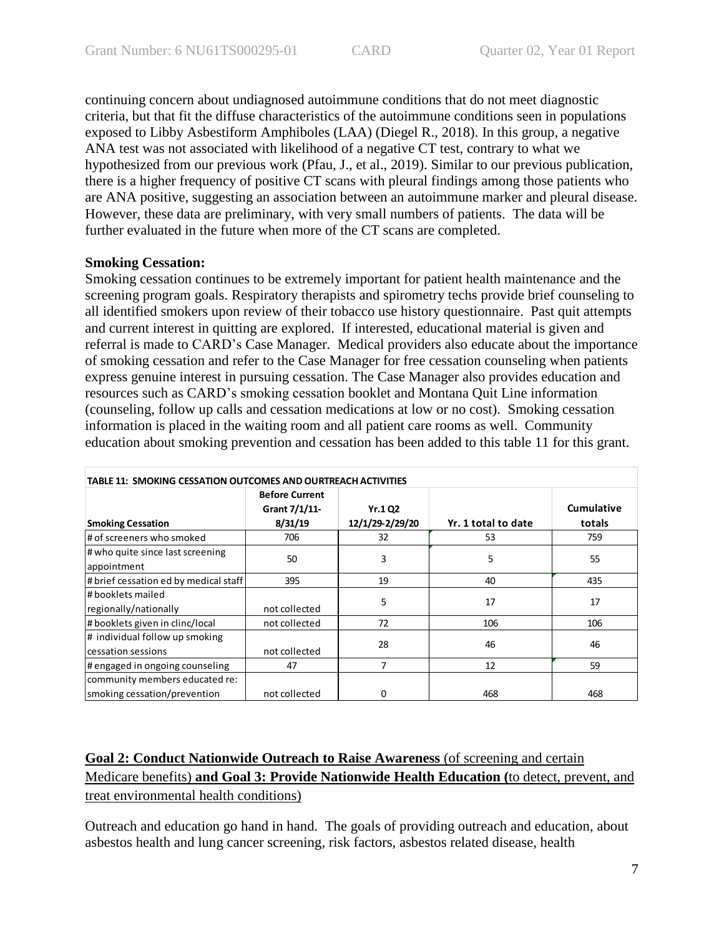continuing concern about undiagnosed autoimmune conditions that do not meet diagnostic criteria, but that fit the diffuse characteristics of the autoimmune conditions seen in populations exposed to Libby Asbestiform Amphiboles (LAA) (Diegel R., 2018). In this group, a negative ANA test was not associated with likelihood of a negative CT test, contrary to what we hypothesized from our previous work (Pfau, J., et al., 2019). Similar to our previous publication, there is a higher frequency of positive CT scans with pleural findings among those patients who are ANA positive, suggesting an association between an autoimmune marker and pleural disease. However, these data are preliminary, with very small numbers of patients. The data will be further evaluated in the future when more of the CT scans are completed.

### **Smoking Cessation:**

Smoking cessation continues to be extremely important for patient health maintenance and the screening program goals. Respiratory therapists and spirometry techs provide brief counseling to all identified smokers upon review of their tobacco use history questionnaire. Past quit attempts and current interest in quitting are explored. If interested, educational material is given and referral is made to CARD's Case Manager. Medical providers also educate about the importance of smoking cessation and refer to the Case Manager for free cessation counseling when patients express genuine interest in pursuing cessation. The Case Manager also provides education and resources such as CARD's smoking cessation booklet and Montana Quit Line information (counseling, follow up calls and cessation medications at low or no cost). Smoking cessation information is placed in the waiting room and all patient care rooms as well. Community education about smoking prevention and cessation has been added to this table 11 for this grant.

| TABLE 11: SMOKING CESSATION OUTCOMES AND OURTREACH ACTIVITIES  |                                                   |                            |                     |                      |  |
|----------------------------------------------------------------|---------------------------------------------------|----------------------------|---------------------|----------------------|--|
| <b>Smoking Cessation</b>                                       | <b>Before Current</b><br>Grant 7/1/11-<br>8/31/19 | Yr.1 Q2<br>12/1/29-2/29/20 | Yr. 1 total to date | Cumulative<br>totals |  |
| # of screeners who smoked                                      | 706                                               | 32                         | 53                  | 759                  |  |
| # who quite since last screening<br>appointment                | 50                                                | 3                          | 5                   | 55                   |  |
| # brief cessation ed by medical staff                          | 395                                               | 19                         | 40                  | 435                  |  |
| l# booklets mailed<br>regionally/nationally                    | not collected                                     | 5                          | 17                  | 17                   |  |
| # booklets given in clinc/local                                | not collected                                     | 72                         | 106                 | 106                  |  |
| # individual follow up smoking<br>cessation sessions           | not collected                                     | 28                         | 46                  | 46                   |  |
| # engaged in ongoing counseling                                | 47                                                | 7                          | 12                  | 59                   |  |
| community members educated re:<br>smoking cessation/prevention | not collected                                     | 0                          | 468                 | 468                  |  |

# **Goal 2: Conduct Nationwide Outreach to Raise Awareness** (of screening and certain Medicare benefits) **and Goal 3: Provide Nationwide Health Education (**to detect, prevent, and treat environmental health conditions)

Outreach and education go hand in hand. The goals of providing outreach and education, about asbestos health and lung cancer screening, risk factors, asbestos related disease, health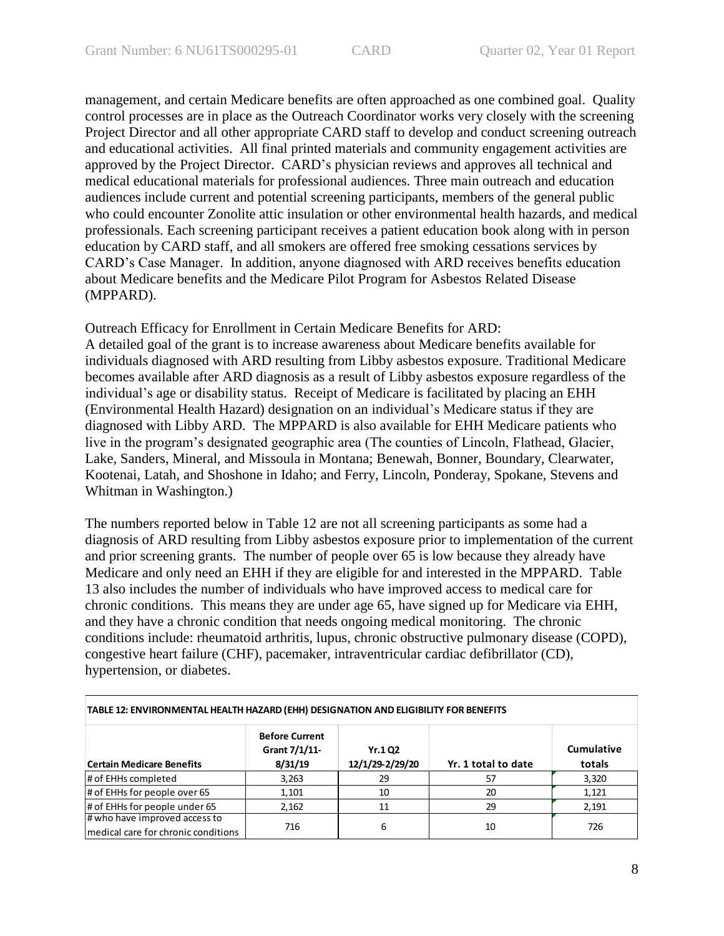management, and certain Medicare benefits are often approached as one combined goal. Quality control processes are in place as the Outreach Coordinator works very closely with the screening Project Director and all other appropriate CARD staff to develop and conduct screening outreach and educational activities. All final printed materials and community engagement activities are approved by the Project Director. CARD's physician reviews and approves all technical and medical educational materials for professional audiences. Three main outreach and education audiences include current and potential screening participants, members of the general public who could encounter Zonolite attic insulation or other environmental health hazards, and medical professionals. Each screening participant receives a patient education book along with in person education by CARD staff, and all smokers are offered free smoking cessations services by CARD's Case Manager. In addition, anyone diagnosed with ARD receives benefits education about Medicare benefits and the Medicare Pilot Program for Asbestos Related Disease (MPPARD).

Outreach Efficacy for Enrollment in Certain Medicare Benefits for ARD: A detailed goal of the grant is to increase awareness about Medicare benefits available for individuals diagnosed with ARD resulting from Libby asbestos exposure. Traditional Medicare becomes available after ARD diagnosis as a result of Libby asbestos exposure regardless of the individual's age or disability status. Receipt of Medicare is facilitated by placing an EHH (Environmental Health Hazard) designation on an individual's Medicare status if they are diagnosed with Libby ARD. The MPPARD is also available for EHH Medicare patients who live in the program's designated geographic area (The counties of Lincoln, Flathead, Glacier, Lake, Sanders, Mineral, and Missoula in Montana; Benewah, Bonner, Boundary, Clearwater, Kootenai, Latah, and Shoshone in Idaho; and Ferry, Lincoln, Ponderay, Spokane, Stevens and Whitman in Washington.)

The numbers reported below in Table 12 are not all screening participants as some had a diagnosis of ARD resulting from Libby asbestos exposure prior to implementation of the current and prior screening grants. The number of people over 65 is low because they already have Medicare and only need an EHH if they are eligible for and interested in the MPPARD. Table 13 also includes the number of individuals who have improved access to medical care for chronic conditions. This means they are under age 65, have signed up for Medicare via EHH, and they have a chronic condition that needs ongoing medical monitoring. The chronic conditions include: rheumatoid arthritis, lupus, chronic obstructive pulmonary disease (COPD), congestive heart failure (CHF), pacemaker, intraventricular cardiac defibrillator (CD), hypertension, or diabetes.

| TABLE 12: ENVIRONMENTAL HEALTH HAZARD (EHH) DESIGNATION AND ELIGIBILITY FOR BENEFITS |                                                   |                           |                     |                             |  |  |
|--------------------------------------------------------------------------------------|---------------------------------------------------|---------------------------|---------------------|-----------------------------|--|--|
| <b>Certain Medicare Benefits</b>                                                     | <b>Before Current</b><br>Grant 7/1/11-<br>8/31/19 | Yr.102<br>12/1/29-2/29/20 | Yr. 1 total to date | <b>Cumulative</b><br>totals |  |  |
| # of EHHs completed                                                                  | 3,263                                             | 29                        | 57                  | 3,320                       |  |  |
| # of EHHs for people over 65                                                         | 1,101                                             | 10                        | 20                  | 1,121                       |  |  |
| # of EHHs for people under 65                                                        | 2,162                                             | 11                        | 29                  | 2,191                       |  |  |
| # who have improved access to<br>medical care for chronic conditions                 | 716                                               | 6                         | 10                  | 726                         |  |  |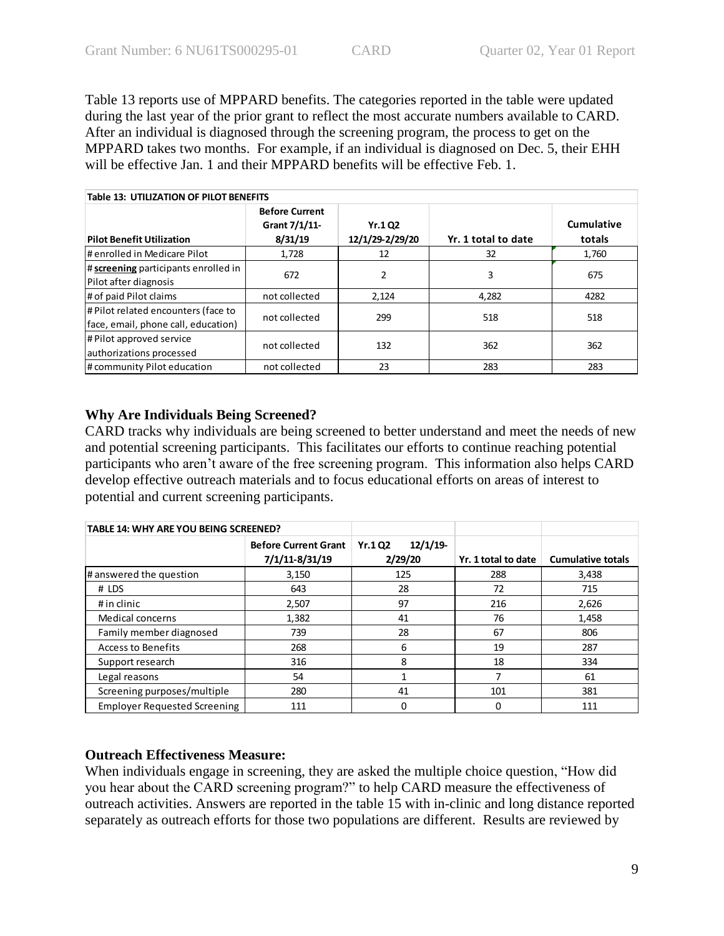Table 13 reports use of MPPARD benefits. The categories reported in the table were updated during the last year of the prior grant to reflect the most accurate numbers available to CARD. After an individual is diagnosed through the screening program, the process to get on the MPPARD takes two months. For example, if an individual is diagnosed on Dec. 5, their EHH will be effective Jan. 1 and their MPPARD benefits will be effective Feb. 1.

| <b>Table 13: UTILIZATION OF PILOT BENEFITS</b>                             |                                                   |                            |                     |                      |  |
|----------------------------------------------------------------------------|---------------------------------------------------|----------------------------|---------------------|----------------------|--|
| <b>Pilot Benefit Utilization</b>                                           | <b>Before Current</b><br>Grant 7/1/11-<br>8/31/19 | Yr.1 Q2<br>12/1/29-2/29/20 | Yr. 1 total to date | Cumulative<br>totals |  |
| # enrolled in Medicare Pilot                                               | 1,728                                             | 12                         | 32                  | 1,760                |  |
| # screening participants enrolled in<br>Pilot after diagnosis              | 672                                               | 2                          | 3                   | 675                  |  |
| # of paid Pilot claims                                                     | not collected                                     | 2,124                      | 4,282               | 4282                 |  |
| # Pilot related encounters (face to<br>face, email, phone call, education) | not collected                                     | 299                        | 518                 | 518                  |  |
| # Pilot approved service<br>authorizations processed                       | not collected                                     | 132                        | 362                 | 362                  |  |
| # community Pilot education                                                | not collected                                     | 23                         | 283                 | 283                  |  |

# **Why Are Individuals Being Screened?**

CARD tracks why individuals are being screened to better understand and meet the needs of new and potential screening participants. This facilitates our efforts to continue reaching potential participants who aren't aware of the free screening program. This information also helps CARD develop effective outreach materials and to focus educational efforts on areas of interest to potential and current screening participants.

| <b>TABLE 14: WHY ARE YOU BEING SCREENED?</b> |                                               |                                     |                     |                          |
|----------------------------------------------|-----------------------------------------------|-------------------------------------|---------------------|--------------------------|
|                                              | <b>Before Current Grant</b><br>7/1/11-8/31/19 | 12/1/19<br><b>Yr.1Q2</b><br>2/29/20 | Yr. 1 total to date | <b>Cumulative totals</b> |
| # answered the question                      | 3,150                                         | 125                                 | 288                 | 3,438                    |
|                                              |                                               |                                     |                     |                          |
| # LDS                                        | 643                                           | 28                                  | 72                  | 715                      |
| # in clinic                                  | 2,507                                         | 97                                  | 216                 | 2,626                    |
| Medical concerns                             | 1,382                                         | 41                                  | 76                  | 1,458                    |
| Family member diagnosed                      | 739                                           | 28                                  | 67                  | 806                      |
| <b>Access to Benefits</b>                    | 268                                           | 6                                   | 19                  | 287                      |
| Support research                             | 316                                           | 8                                   | 18                  | 334                      |
| Legal reasons                                | 54                                            |                                     |                     | 61                       |
| Screening purposes/multiple                  | 280                                           | 41                                  | 101                 | 381                      |
| <b>Employer Requested Screening</b>          | 111                                           | 0                                   | 0                   | 111                      |

# **Outreach Effectiveness Measure:**

When individuals engage in screening, they are asked the multiple choice question, "How did you hear about the CARD screening program?" to help CARD measure the effectiveness of outreach activities. Answers are reported in the table 15 with in-clinic and long distance reported separately as outreach efforts for those two populations are different. Results are reviewed by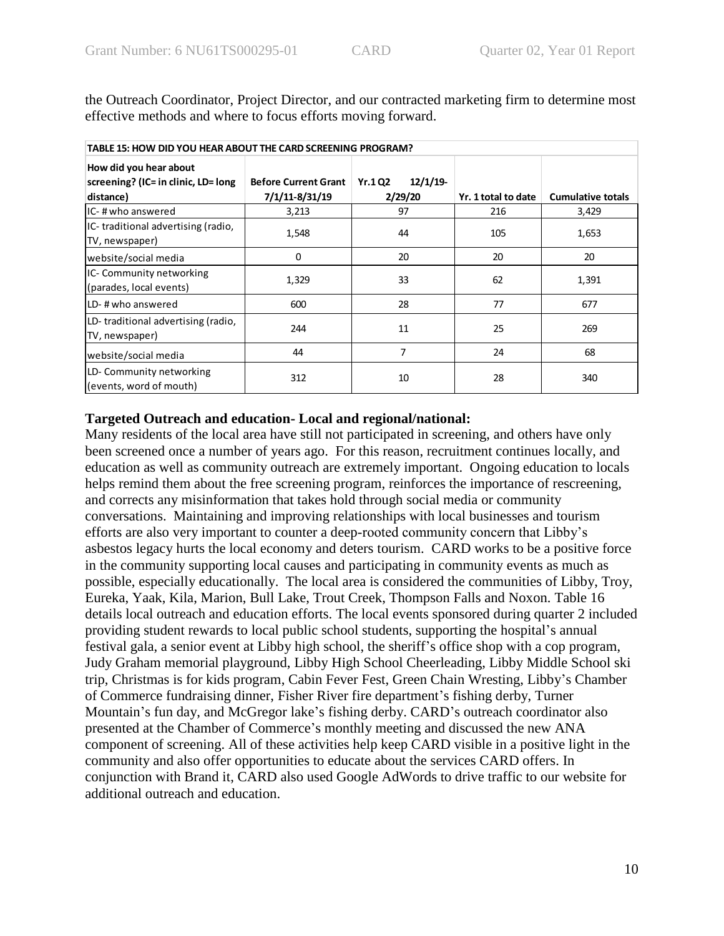| TABLE 15: HOW DID YOU HEAR ABOUT THE CARD SCREENING PROGRAM?               |                                               |                                     |                     |                          |  |
|----------------------------------------------------------------------------|-----------------------------------------------|-------------------------------------|---------------------|--------------------------|--|
| How did you hear about<br>screening? (IC= in clinic, LD= long<br>distance) | <b>Before Current Grant</b><br>7/1/11-8/31/19 | 12/1/19<br><b>Yr.102</b><br>2/29/20 | Yr. 1 total to date | <b>Cumulative totals</b> |  |
| IC-# who answered                                                          | 3,213                                         | 97                                  | 216                 | 3,429                    |  |
| IC-traditional advertising (radio,<br>TV, newspaper)                       | 1,548                                         | 44                                  | 105                 | 1,653                    |  |
| website/social media                                                       | 0                                             | 20                                  | 20                  | 20                       |  |
| IC-Community networking<br>(parades, local events)                         | 1,329                                         | 33                                  | 62                  | 1,391                    |  |
| LD-# who answered                                                          | 600                                           | 28                                  | 77                  | 677                      |  |
| LD-traditional advertising (radio,<br>TV, newspaper)                       | 244                                           | 11                                  | 25                  | 269                      |  |
| website/social media                                                       | 44                                            | 7                                   | 24                  | 68                       |  |
| LD-Community networking<br>(events, word of mouth)                         | 312                                           | 10                                  | 28                  | 340                      |  |

the Outreach Coordinator, Project Director, and our contracted marketing firm to determine most effective methods and where to focus efforts moving forward.

### **Targeted Outreach and education- Local and regional/national:**

Many residents of the local area have still not participated in screening, and others have only been screened once a number of years ago. For this reason, recruitment continues locally, and education as well as community outreach are extremely important. Ongoing education to locals helps remind them about the free screening program, reinforces the importance of rescreening, and corrects any misinformation that takes hold through social media or community conversations. Maintaining and improving relationships with local businesses and tourism efforts are also very important to counter a deep-rooted community concern that Libby's asbestos legacy hurts the local economy and deters tourism. CARD works to be a positive force in the community supporting local causes and participating in community events as much as possible, especially educationally. The local area is considered the communities of Libby, Troy, Eureka, Yaak, Kila, Marion, Bull Lake, Trout Creek, Thompson Falls and Noxon. Table 16 details local outreach and education efforts. The local events sponsored during quarter 2 included providing student rewards to local public school students, supporting the hospital's annual festival gala, a senior event at Libby high school, the sheriff's office shop with a cop program, Judy Graham memorial playground, Libby High School Cheerleading, Libby Middle School ski trip, Christmas is for kids program, Cabin Fever Fest, Green Chain Wresting, Libby's Chamber of Commerce fundraising dinner, Fisher River fire department's fishing derby, Turner Mountain's fun day, and McGregor lake's fishing derby. CARD's outreach coordinator also presented at the Chamber of Commerce's monthly meeting and discussed the new ANA component of screening. All of these activities help keep CARD visible in a positive light in the community and also offer opportunities to educate about the services CARD offers. In conjunction with Brand it, CARD also used Google AdWords to drive traffic to our website for additional outreach and education.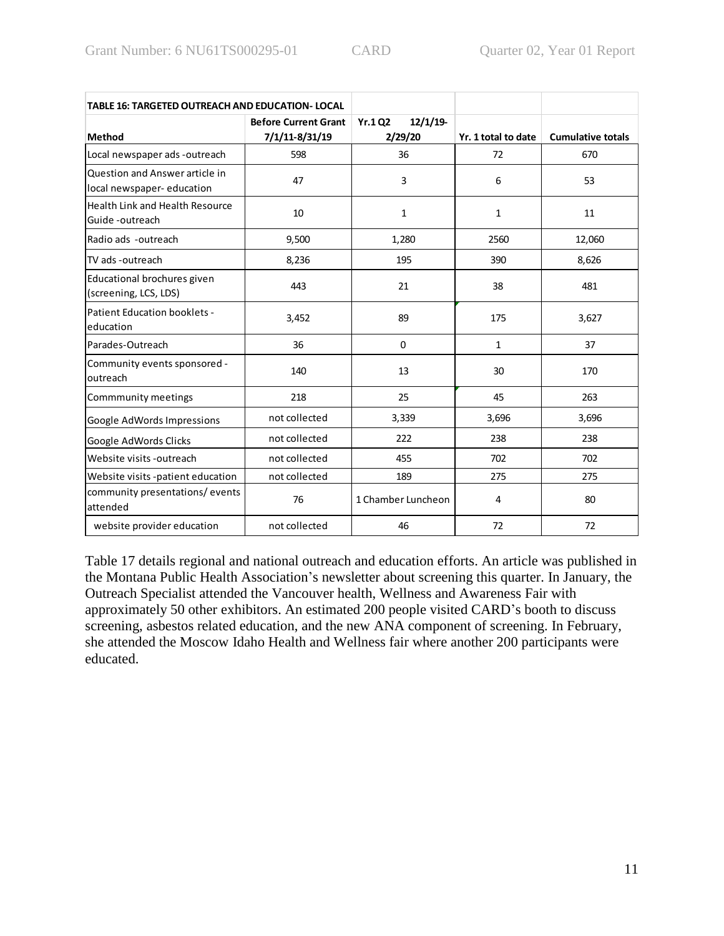| <b>TABLE 16: TARGETED OUTREACH AND EDUCATION- LOCAL</b>     |                                               |                                     |                     |                          |
|-------------------------------------------------------------|-----------------------------------------------|-------------------------------------|---------------------|--------------------------|
| Method                                                      | <b>Before Current Grant</b><br>7/1/11-8/31/19 | 12/1/19<br><b>Yr.102</b><br>2/29/20 | Yr. 1 total to date | <b>Cumulative totals</b> |
| Local newspaper ads -outreach                               | 598                                           | 36                                  | 72                  | 670                      |
| Question and Answer article in<br>local newspaper-education | 47                                            | 3                                   | 6                   | 53                       |
| Health Link and Health Resource<br>Guide -outreach          | 10                                            | $\mathbf{1}$                        | $\mathbf{1}$        | 11                       |
| Radio ads -outreach                                         | 9,500                                         | 1,280                               | 2560                | 12,060                   |
| TV ads -outreach                                            | 8,236                                         | 195                                 | 390                 | 8,626                    |
| Educational brochures given<br>(screening, LCS, LDS)        | 443                                           | 21                                  | 38                  | 481                      |
| Patient Education booklets -<br>education                   | 3,452                                         | 89                                  | 175                 | 3,627                    |
| Parades-Outreach                                            | 36                                            | 0                                   | $\mathbf{1}$        | 37                       |
| Community events sponsored -<br>outreach                    | 140                                           | 13                                  | 30                  | 170                      |
| Commmunity meetings                                         | 218                                           | 25                                  | 45                  | 263                      |
| Google AdWords Impressions                                  | not collected                                 | 3,339                               | 3,696               | 3,696                    |
| Google AdWords Clicks                                       | not collected                                 | 222                                 | 238                 | 238                      |
| Website visits - outreach                                   | not collected                                 | 455                                 | 702                 | 702                      |
| Website visits -patient education                           | not collected                                 | 189                                 | 275                 | 275                      |
| community presentations/events<br>attended                  | 76                                            | 1 Chamber Luncheon                  | 4                   | 80                       |
| website provider education                                  | not collected                                 | 46                                  | 72                  | 72                       |

Table 17 details regional and national outreach and education efforts. An article was published in the Montana Public Health Association's newsletter about screening this quarter. In January, the Outreach Specialist attended the Vancouver health, Wellness and Awareness Fair with approximately 50 other exhibitors. An estimated 200 people visited CARD's booth to discuss screening, asbestos related education, and the new ANA component of screening. In February, she attended the Moscow Idaho Health and Wellness fair where another 200 participants were educated.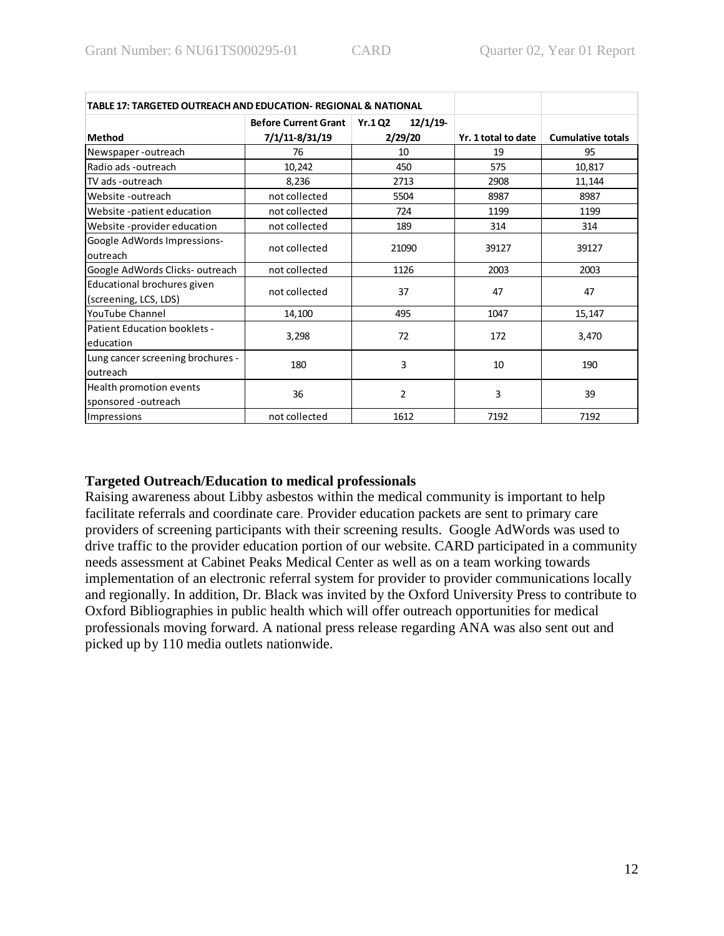| TABLE 17: TARGETED OUTREACH AND EDUCATION- REGIONAL & NATIONAL |                             |                          |                     |                          |
|----------------------------------------------------------------|-----------------------------|--------------------------|---------------------|--------------------------|
|                                                                | <b>Before Current Grant</b> | 12/1/19<br><b>Yr.102</b> |                     |                          |
| Method                                                         | 7/1/11-8/31/19              | 2/29/20                  | Yr. 1 total to date | <b>Cumulative totals</b> |
| Newspaper-outreach                                             | 76                          | 10                       | 19                  | 95                       |
| Radio ads -outreach                                            | 10,242                      | 450                      | 575                 | 10,817                   |
| TV ads -outreach                                               | 8,236                       | 2713                     | 2908                | 11,144                   |
| Website -outreach                                              | not collected               | 5504                     | 8987                | 8987                     |
| Website -patient education                                     | not collected               | 724                      | 1199                | 1199                     |
| Website-provider education                                     | not collected               | 189                      | 314                 | 314                      |
| Google AdWords Impressions-<br>outreach                        | not collected               | 21090                    | 39127               | 39127                    |
| Google AdWords Clicks-outreach                                 | not collected               | 1126                     | 2003                | 2003                     |
| Educational brochures given<br>(screening, LCS, LDS)           | not collected               | 37                       | 47                  | 47                       |
| YouTube Channel                                                | 14,100                      | 495                      | 1047                | 15,147                   |
| Patient Education booklets -<br>education                      | 3,298                       | 72                       | 172                 | 3,470                    |
| Lung cancer screening brochures -<br>outreach                  | 180                         | 3                        | 10                  | 190                      |
| Health promotion events<br>sponsored -outreach                 | 36                          | 2                        | 3                   | 39                       |
| Impressions                                                    | not collected               | 1612                     | 7192                | 7192                     |

# **Targeted Outreach/Education to medical professionals**

Raising awareness about Libby asbestos within the medical community is important to help facilitate referrals and coordinate care. Provider education packets are sent to primary care providers of screening participants with their screening results. Google AdWords was used to drive traffic to the provider education portion of our website. CARD participated in a community needs assessment at Cabinet Peaks Medical Center as well as on a team working towards implementation of an electronic referral system for provider to provider communications locally and regionally. In addition, Dr. Black was invited by the Oxford University Press to contribute to Oxford Bibliographies in public health which will offer outreach opportunities for medical professionals moving forward. A national press release regarding ANA was also sent out and picked up by 110 media outlets nationwide.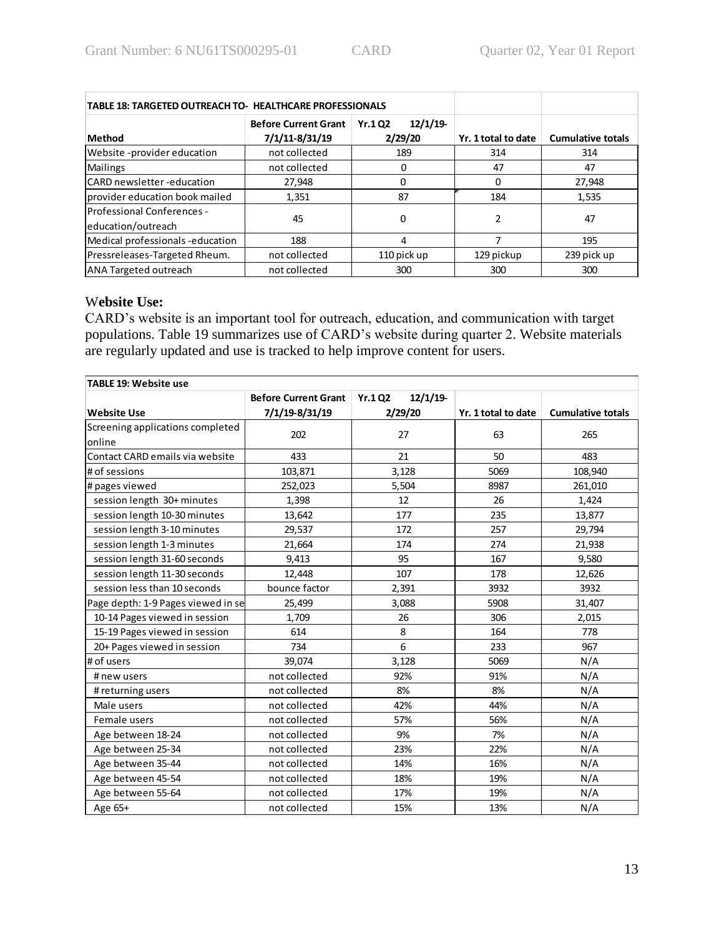| <b>TABLE 18: TARGETED OUTREACH TO- HEALTHCARE PROFESSIONALS</b> |                                               |                                     |                     |                          |
|-----------------------------------------------------------------|-----------------------------------------------|-------------------------------------|---------------------|--------------------------|
| <b>Method</b>                                                   | <b>Before Current Grant</b><br>7/1/11-8/31/19 | 12/1/19<br><b>Yr.102</b><br>2/29/20 | Yr. 1 total to date | <b>Cumulative totals</b> |
| Website -provider education                                     | not collected                                 | 189                                 | 314                 | 314                      |
| <b>Mailings</b>                                                 | not collected                                 |                                     | 47                  | 47                       |
| CARD newsletter -education                                      | 27,948                                        | 0                                   | 0                   | 27,948                   |
| provider education book mailed                                  | 1,351                                         | 87                                  | 184                 | 1,535                    |
| Professional Conferences -<br>education/outreach                | 45                                            | 0                                   |                     | 47                       |
| Medical professionals-education                                 | 188                                           | 4                                   |                     | 195                      |
| Pressreleases-Targeted Rheum.                                   | not collected                                 | 110 pick up                         | 129 pickup          | 239 pick up              |
| ANA Targeted outreach                                           | not collected                                 | 300                                 | 300                 | 300                      |

### W**ebsite Use:**

CARD's website is an important tool for outreach, education, and communication with target populations. Table 19 summarizes use of CARD's website during quarter 2. Website materials are regularly updated and use is tracked to help improve content for users.

| <b>TABLE 19: Website use</b>       |                             |                           |                     |                          |
|------------------------------------|-----------------------------|---------------------------|---------------------|--------------------------|
|                                    | <b>Before Current Grant</b> | 12/1/19<br><b>Yr.1 Q2</b> |                     |                          |
| <b>Website Use</b>                 | 7/1/19-8/31/19              | 2/29/20                   | Yr. 1 total to date | <b>Cumulative totals</b> |
| Screening applications completed   | 202                         | 27                        |                     |                          |
| online                             |                             |                           | 63                  | 265                      |
| Contact CARD emails via website    | 433                         | 21                        | 50                  | 483                      |
| # of sessions                      | 103,871                     | 3,128                     | 5069                | 108,940                  |
| # pages viewed                     | 252,023                     | 5,504                     | 8987                | 261,010                  |
| session length 30+ minutes         | 1,398                       | 12                        | 26                  | 1,424                    |
| session length 10-30 minutes       | 13,642                      | 177                       | 235                 | 13,877                   |
| session length 3-10 minutes        | 29,537                      | 172                       | 257                 | 29,794                   |
| session length 1-3 minutes         | 21,664                      | 174                       | 274                 | 21,938                   |
| session length 31-60 seconds       | 9,413                       | 95                        | 167                 | 9,580                    |
| session length 11-30 seconds       | 12,448                      | 107                       | 178                 | 12,626                   |
| session less than 10 seconds       | bounce factor               | 2,391                     | 3932                | 3932                     |
| Page depth: 1-9 Pages viewed in se | 25,499                      | 3,088                     | 5908                | 31,407                   |
| 10-14 Pages viewed in session      | 1,709                       | 26                        | 306                 | 2,015                    |
| 15-19 Pages viewed in session      | 614                         | 8                         | 164                 | 778                      |
| 20+ Pages viewed in session        | 734                         | 6                         | 233                 | 967                      |
| # of users                         | 39,074                      | 3,128                     | 5069                | N/A                      |
| # new users                        | not collected               | 92%                       | 91%                 | N/A                      |
| # returning users                  | not collected               | 8%                        | 8%                  | N/A                      |
| Male users                         | not collected               | 42%                       | 44%                 | N/A                      |
| Female users                       | not collected               | 57%                       | 56%                 | N/A                      |
| Age between 18-24                  | not collected               | 9%                        | 7%                  | N/A                      |
| Age between 25-34                  | not collected               | 23%                       | 22%                 | N/A                      |
| Age between 35-44                  | not collected               | 14%                       | 16%                 | N/A                      |
| Age between 45-54                  | not collected               | 18%                       | 19%                 | N/A                      |
| Age between 55-64                  | not collected               | 17%                       | 19%                 | N/A                      |
| Age 65+                            | not collected               | 15%                       | 13%                 | N/A                      |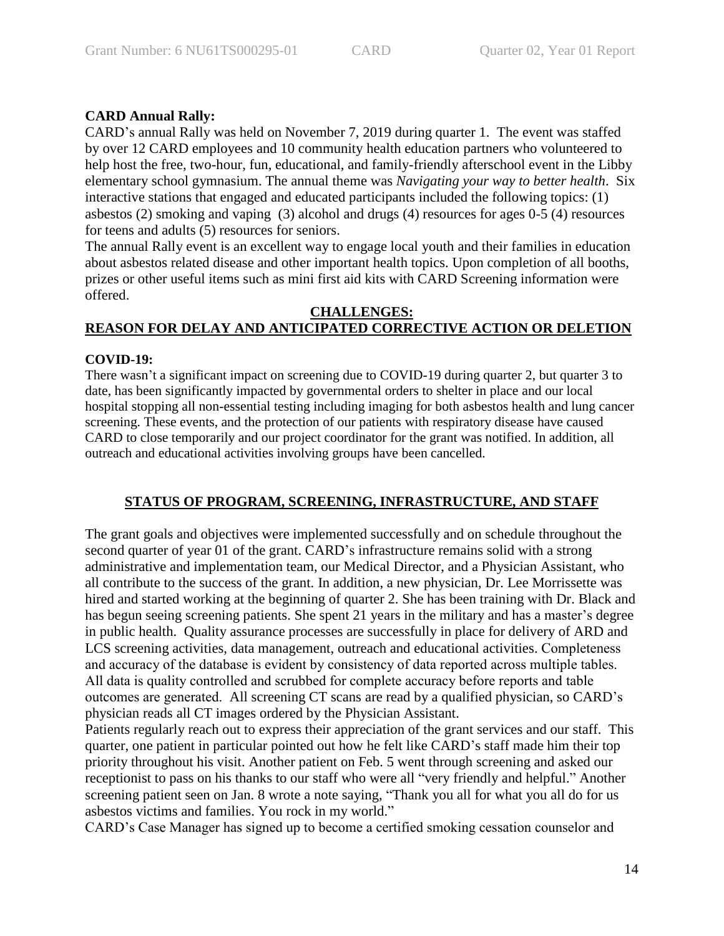# **CARD Annual Rally:**

CARD's annual Rally was held on November 7, 2019 during quarter 1. The event was staffed by over 12 CARD employees and 10 community health education partners who volunteered to help host the free, two-hour, fun, educational, and family-friendly afterschool event in the Libby elementary school gymnasium. The annual theme was *Navigating your way to better health*. Six interactive stations that engaged and educated participants included the following topics: (1) asbestos (2) smoking and vaping (3) alcohol and drugs (4) resources for ages 0-5 (4) resources for teens and adults (5) resources for seniors.

The annual Rally event is an excellent way to engage local youth and their families in education about asbestos related disease and other important health topics. Upon completion of all booths, prizes or other useful items such as mini first aid kits with CARD Screening information were offered.

### **CHALLENGES: REASON FOR DELAY AND ANTICIPATED CORRECTIVE ACTION OR DELETION**

### **COVID-19:**

There wasn't a significant impact on screening due to COVID-19 during quarter 2, but quarter 3 to date, has been significantly impacted by governmental orders to shelter in place and our local hospital stopping all non-essential testing including imaging for both asbestos health and lung cancer screening. These events, and the protection of our patients with respiratory disease have caused CARD to close temporarily and our project coordinator for the grant was notified. In addition, all outreach and educational activities involving groups have been cancelled.

# **STATUS OF PROGRAM, SCREENING, INFRASTRUCTURE, AND STAFF**

The grant goals and objectives were implemented successfully and on schedule throughout the second quarter of year 01 of the grant. CARD's infrastructure remains solid with a strong administrative and implementation team, our Medical Director, and a Physician Assistant, who all contribute to the success of the grant. In addition, a new physician, Dr. Lee Morrissette was hired and started working at the beginning of quarter 2. She has been training with Dr. Black and has begun seeing screening patients. She spent 21 years in the military and has a master's degree in public health. Quality assurance processes are successfully in place for delivery of ARD and LCS screening activities, data management, outreach and educational activities. Completeness and accuracy of the database is evident by consistency of data reported across multiple tables. All data is quality controlled and scrubbed for complete accuracy before reports and table outcomes are generated. All screening CT scans are read by a qualified physician, so CARD's physician reads all CT images ordered by the Physician Assistant.

Patients regularly reach out to express their appreciation of the grant services and our staff. This quarter, one patient in particular pointed out how he felt like CARD's staff made him their top priority throughout his visit. Another patient on Feb. 5 went through screening and asked our receptionist to pass on his thanks to our staff who were all "very friendly and helpful." Another screening patient seen on Jan. 8 wrote a note saying, "Thank you all for what you all do for us asbestos victims and families. You rock in my world."

CARD's Case Manager has signed up to become a certified smoking cessation counselor and